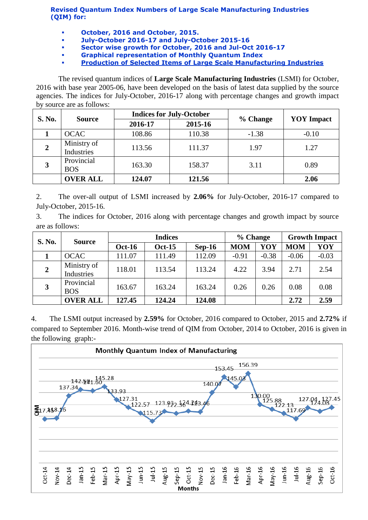**Revised Quantum Index Numbers of Large Scale Manufacturing Industries (QIM) for:**

- **October, 2016 and October, 2015.**
- **July-October 2016-17 and July-October 2015-16**
- **Sector wise growth for October, 2016 and Jul-Oct 2016-17**
- **Graphical representation of Monthly Quantum Index**
- **[Production of Selected Items of Large Scale Manufacturing Industries](http://www.statpak.gov.pk/depts/fbs/statistics/qim/qim_details.pdf)**

The revised quantum indices of **Large Scale Manufacturing Industries** (LSMI) for October, 2016 with base year 2005-06, have been developed on the basis of latest data supplied by the source agencies. The indices for July-October, 2016-17 along with percentage changes and growth impact by source are as follows:

| <b>S. No.</b> | <b>Source</b>             |         | <b>Indices for July-October</b> |          | <b>YOY</b> Impact |  |
|---------------|---------------------------|---------|---------------------------------|----------|-------------------|--|
|               |                           | 2016-17 | 2015-16                         | % Change |                   |  |
|               | <b>OCAC</b>               | 108.86  | 110.38                          | $-1.38$  | $-0.10$           |  |
| 2             | Ministry of<br>Industries | 113.56  | 111.37                          | 1.97     | 1.27              |  |
| 3             | Provincial<br><b>BOS</b>  | 163.30  | 158.37                          | 3.11     | 0.89              |  |
|               | <b>OVER ALL</b>           | 124.07  | 121.56                          |          | 2.06              |  |

2. The over-all output of LSMI increased by **2.06%** for July-October, 2016-17 compared to July-October, 2015-16.

3. The indices for October, 2016 along with percentage changes and growth impact by source are as follows:

| <b>S. No.</b>           | <b>Source</b>             | <b>Indices</b> |               |          | % Change   |         | <b>Growth Impact</b> |         |
|-------------------------|---------------------------|----------------|---------------|----------|------------|---------|----------------------|---------|
|                         |                           | <b>Oct-16</b>  | <b>Oct-15</b> | $Sep-16$ | <b>MOM</b> | YOY     | <b>MOM</b>           | YOY     |
|                         | <b>OCAC</b>               | 111.07         | 111.49        | 112.09   | $-0.91$    | $-0.38$ | $-0.06$              | $-0.03$ |
| $\overline{2}$          | Ministry of<br>Industries | 118.01         | 113.54        | 113.24   | 4.22       | 3.94    | 2.71                 | 2.54    |
| $\overline{\mathbf{3}}$ | Provincial<br><b>BOS</b>  | 163.67         | 163.24        | 163.24   | 0.26       | 0.26    | 0.08                 | 0.08    |
|                         | <b>OVER ALL</b>           | 127.45         | 124.24        | 124.08   |            |         | 2.72                 | 2.59    |

4. The LSMI output increased by **2.59%** for October, 2016 compared to October, 2015 and **2.72%** if compared to September 2016. Month-wise trend of QIM from October, 2014 to October, 2016 is given in the following graph:-